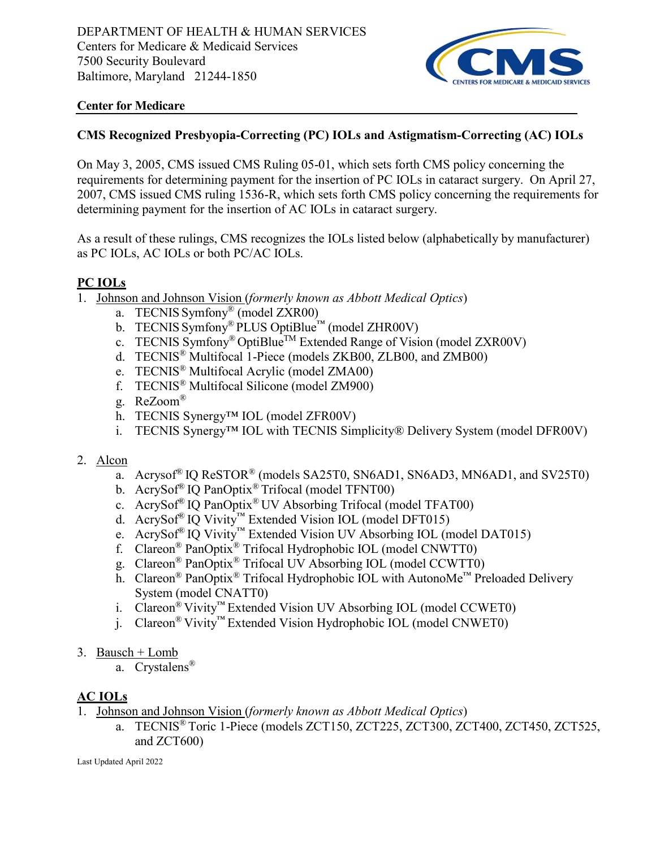

## **Center for Medicare**

## **CMS Recognized Presbyopia-Correcting (PC) IOLs and Astigmatism-Correcting (AC) IOLs**

On May 3, 2005, CMS issued CMS Ruling 05-01, which sets forth CMS policy concerning the requirements for determining payment for the insertion of PC IOLs in cataract surgery. On April 27, 2007, CMS issued CMS ruling 1536-R, which sets forth CMS policy concerning the requirements for determining payment for the insertion of AC IOLs in cataract surgery.

As a result of these rulings, CMS recognizes the IOLs listed below (alphabetically by manufacturer) as PC IOLs, AC IOLs or both PC/AC IOLs.

### **PC IOLs**

- 1. Johnson and Johnson Vision (*formerly known as Abbott Medical Optics*)
	- a. TECNIS Symfony® (model ZXR00)
	- b. TECNIS Symfony<sup>®</sup> PLUS OptiBlue™ (model ZHR00V)
	- c. TECNIS Symfony<sup>®</sup> OptiBlue<sup>TM</sup> Extended Range of Vision (model ZXR00V)
	- d. TECNIS® Multifocal 1-Piece (models ZKB00, ZLB00, and ZMB00)
	- e. TECNIS® Multifocal Acrylic (model ZMA00)
	- f. TECNIS® Multifocal Silicone (model ZM900)
	- g. ReZoom®
	- h. TECNIS Synergy™ IOL (model ZFR00V)
	- i. TECNIS Synergy™ IOL with TECNIS Simplicity® Delivery System (model DFR00V)

#### 2. Alcon

- a. Acrysof<sup>®</sup> IQ ReSTOR<sup>®</sup> (models SA25T0, SN6AD1, SN6AD3, MN6AD1, and SV25T0)
- b. AcrySof® IQ PanOptix® Trifocal (model TFNT00)
- c. AcrySof® IQ PanOptix® UV Absorbing Trifocal (model TFAT00)
- d. AcrySof® IQ Vivity™ Extended Vision IOL (model DFT015)
- e. AcrySof® IQ Vivity™ Extended Vision UV Absorbing IOL (model DAT015)
- f. Clareon® PanOptix® Trifocal Hydrophobic IOL (model CNWTT0)
- g. Clareon® PanOptix® Trifocal UV Absorbing IOL (model CCWTT0)
- h. Clareon® PanOptix® Trifocal Hydrophobic IOL with AutonoMe™ Preloaded Delivery System (model CNATT0)
- i. Clareon® Vivity™ Extended Vision UV Absorbing IOL (model CCWET0)
- j. Clareon® Vivity™ Extended Vision Hydrophobic IOL (model CNWET0)
- 3. Bausch + Lomb
	- a. Crystalens®

#### **AC IOLs**

- 1. Johnson and Johnson Vision (*formerly known as Abbott Medical Optics*)
	- a. TECNIS® Toric 1-Piece (models ZCT150, ZCT225, ZCT300, ZCT400, ZCT450, ZCT525, and ZCT600)

Last Updated April 2022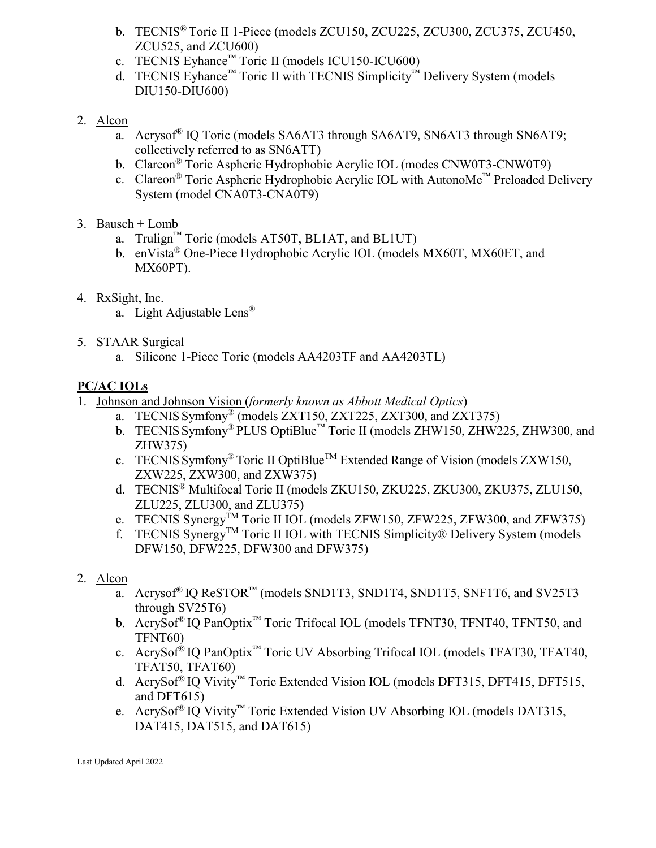- b. TECNIS® Toric II 1-Piece (models ZCU150, ZCU225, ZCU300, ZCU375, ZCU450, ZCU525, and ZCU600)
- c. TECNIS Eyhance™ Toric II (models ICU150-ICU600)
- d. TECNIS Eyhance™ Toric II with TECNIS Simplicity<sup>™</sup> Delivery System (models DIU150-DIU600)
- 2. Alcon
	- a. Acrysof® IQ Toric (models SA6AT3 through SA6AT9, SN6AT3 through SN6AT9; collectively referred to as SN6ATT)
	- b. Clareon® Toric Aspheric Hydrophobic Acrylic IOL (modes CNW0T3-CNW0T9)
	- c. Clareon<sup>®</sup> Toric Aspheric Hydrophobic Acrylic IOL with AutonoMe<sup>™</sup> Preloaded Delivery System (model CNA0T3-CNA0T9)
- 3. Bausch + Lomb
	- a. Trulign<sup>™</sup> Toric (models AT50T, BL1AT, and BL1UT)
	- b. enVista<sup>®</sup> One-Piece Hydrophobic Acrylic IOL (models MX60T, MX60ET, and MX60PT).
- 4. RxSight, Inc.
	- a. Light Adjustable Lens®
- 5. STAAR Surgical
	- a. Silicone 1-Piece Toric (models AA4203TF and AA4203TL)

# **PC/AC IOLs**

- 1. Johnson and Johnson Vision (*formerly known as Abbott Medical Optics*)
	- a. TECNIS Symfony® (models ZXT150, ZXT225, ZXT300, and ZXT375)
	- b. TECNIS Symfony® PLUS OptiBlue™ Toric II (models ZHW150, ZHW225, ZHW300, and ZHW375)
	- c. TECNIS Symfony<sup>®</sup> Toric II OptiBlue<sup>TM</sup> Extended Range of Vision (models ZXW150, ZXW225, ZXW300, and ZXW375)
	- d. TECNIS® Multifocal Toric II (models ZKU150, ZKU225, ZKU300, ZKU375, ZLU150, ZLU225, ZLU300, and ZLU375)
	- e. TECNIS Synergy<sup>TM</sup> Toric II IOL (models ZFW150, ZFW225, ZFW300, and ZFW375)
	- f. TECNIS Synergy<sup>TM</sup> Toric II IOL with TECNIS Simplicity® Delivery System (models DFW150, DFW225, DFW300 and DFW375)
- 2. Alcon
	- a. Acrysof® IQ ReSTOR™ (models SND1T3, SND1T4, SND1T5, SNF1T6, and SV25T3 through SV25T6)
	- b. AcrySof® IQ PanOptix™ Toric Trifocal IOL (models TFNT30, TFNT40, TFNT50, and TFNT60)
	- c. AcrySof® IQ PanOptix™ Toric UV Absorbing Trifocal IOL (models TFAT30, TFAT40, TFAT50, TFAT60)
	- d. AcrySof® IQ Vivity™ Toric Extended Vision IOL (models DFT315, DFT415, DFT515, and DFT615)
	- e. AcrySof® IQ Vivity™ Toric Extended Vision UV Absorbing IOL (models DAT315, DAT415, DAT515, and DAT615)